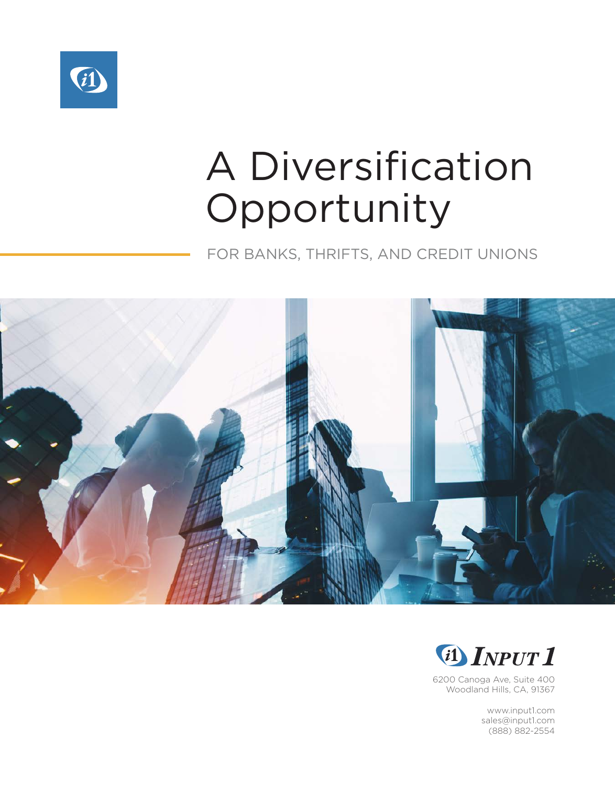

# A Diversification Opportunity

FOR BANKS, THRIFTS, AND CREDIT UNIONS





6200 Canoga Ave, Suite 400 Woodland Hills, CA, 91367

> www.input1.com sales@input1.com (888) 882-2554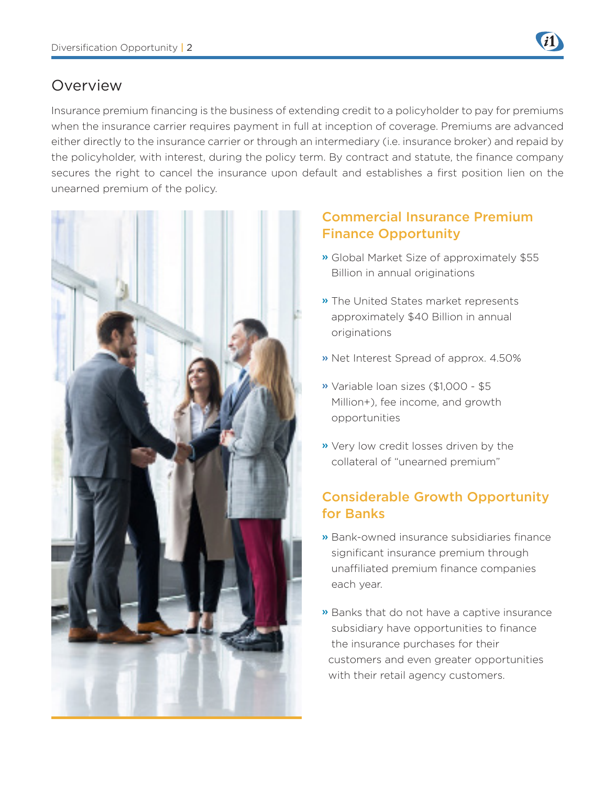

### Overview

Insurance premium financing is the business of extending credit to a policyholder to pay for premiums when the insurance carrier requires payment in full at inception of coverage. Premiums are advanced either directly to the insurance carrier or through an intermediary (i.e. insurance broker) and repaid by the policyholder, with interest, during the policy term. By contract and statute, the finance company secures the right to cancel the insurance upon default and establishes a first position lien on the unearned premium of the policy.



### Commercial Insurance Premium Finance Opportunity

- » Global Market Size of approximately \$55 Billion in annual originations
- » The United States market represents approximately \$40 Billion in annual originations
- » Net Interest Spread of approx. 4.50%
- » Variable loan sizes (\$1,000 \$5 Million+), fee income, and growth opportunities
- » Very low credit losses driven by the collateral of "unearned premium"

### Considerable Growth Opportunity for Banks

- » Bank-owned insurance subsidiaries finance significant insurance premium through unaffiliated premium finance companies each year.
- » Banks that do not have a captive insurance subsidiary have opportunities to finance the insurance purchases for their customers and even greater opportunities with their retail agency customers.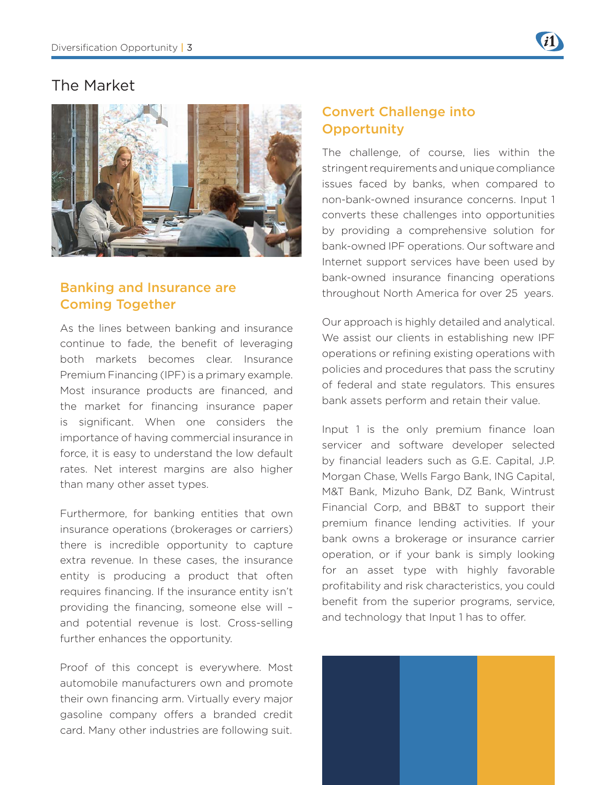

### The Market



### Banking and Insurance are Coming Together

As the lines between banking and insurance continue to fade, the benefit of leveraging both markets becomes clear. Insurance Premium Financing (IPF) is a primary example. Most insurance products are financed, and the market for financing insurance paper is significant. When one considers the importance of having commercial insurance in force, it is easy to understand the low default rates. Net interest margins are also higher than many other asset types.

Furthermore, for banking entities that own insurance operations (brokerages or carriers) there is incredible opportunity to capture extra revenue. In these cases, the insurance entity is producing a product that often requires financing. If the insurance entity isn't providing the financing, someone else will – and potential revenue is lost. Cross-selling further enhances the opportunity.

Proof of this concept is everywhere. Most automobile manufacturers own and promote their own financing arm. Virtually every major gasoline company offers a branded credit card. Many other industries are following suit.

### Convert Challenge into **Opportunity**

The challenge, of course, lies within the stringent requirements and unique compliance issues faced by banks, when compared to non-bank-owned insurance concerns. Input 1 converts these challenges into opportunities by providing a comprehensive solution for bank-owned IPF operations. Our software and Internet support services have been used by bank-owned insurance financing operations throughout North America for over 25 years.

Our approach is highly detailed and analytical. We assist our clients in establishing new IPF operations or refining existing operations with policies and procedures that pass the scrutiny of federal and state regulators. This ensures bank assets perform and retain their value.

Input 1 is the only premium finance loan servicer and software developer selected by financial leaders such as G.E. Capital, J.P. Morgan Chase, Wells Fargo Bank, ING Capital, M&T Bank, Mizuho Bank, DZ Bank, Wintrust Financial Corp, and BB&T to support their premium finance lending activities. If your bank owns a brokerage or insurance carrier operation, or if your bank is simply looking for an asset type with highly favorable profitability and risk characteristics, you could benefit from the superior programs, service, and technology that Input 1 has to offer.

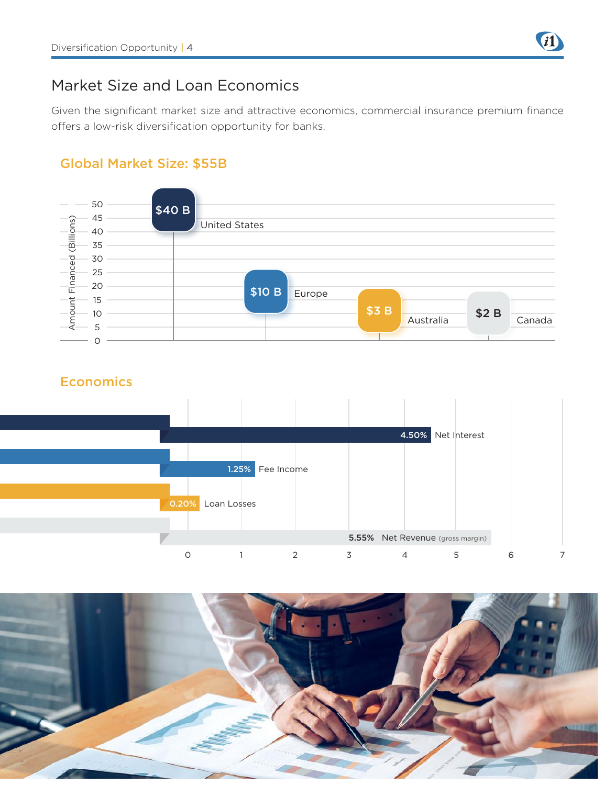

### Market Size and Loan Economics

Given the significant market size and attractive economics, commercial insurance premium finance offers a low-risk diversification opportunity for banks.

### Global Market Size: \$55B



### **Economics**



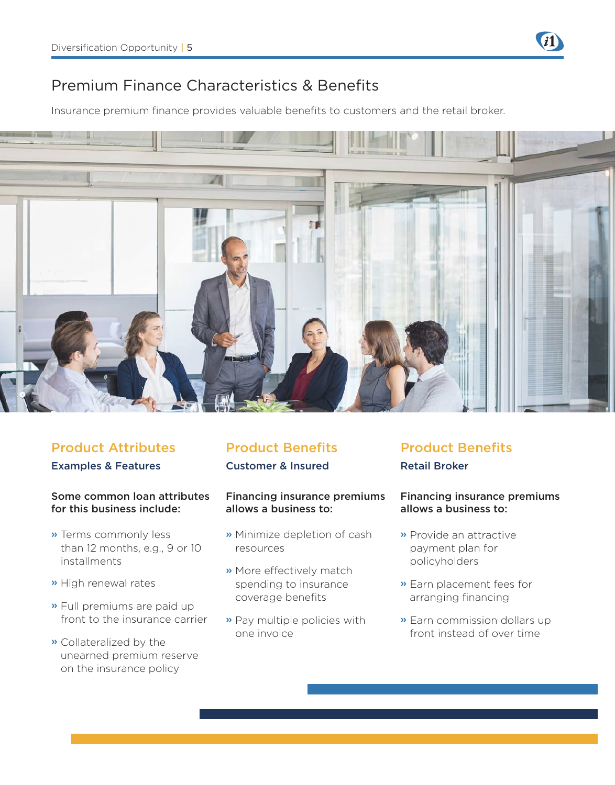### Premium Finance Characteristics & Benefits

Insurance premium finance provides valuable benefits to customers and the retail broker.



### Examples & Features **Customer & Insured** Retail Broker **Product Attributes Product Benefits Product Benefits**

### Some common loan attributes for this business include:

- » Terms commonly less than 12 months, e.g., 9 or 10 installments
- » High renewal rates
- » Full premiums are paid up front to the insurance carrier
- » Collateralized by the unearned premium reserve on the insurance policy

### Financing insurance premiums allows a business to:

- » Minimize depletion of cash resources
- » More effectively match spending to insurance coverage benefits
- » Pay multiple policies with one invoice

### Financing insurance premiums allows a business to:

- » Provide an attractive payment plan for policyholders
- » Earn placement fees for arranging financing
- » Earn commission dollars up front instead of over time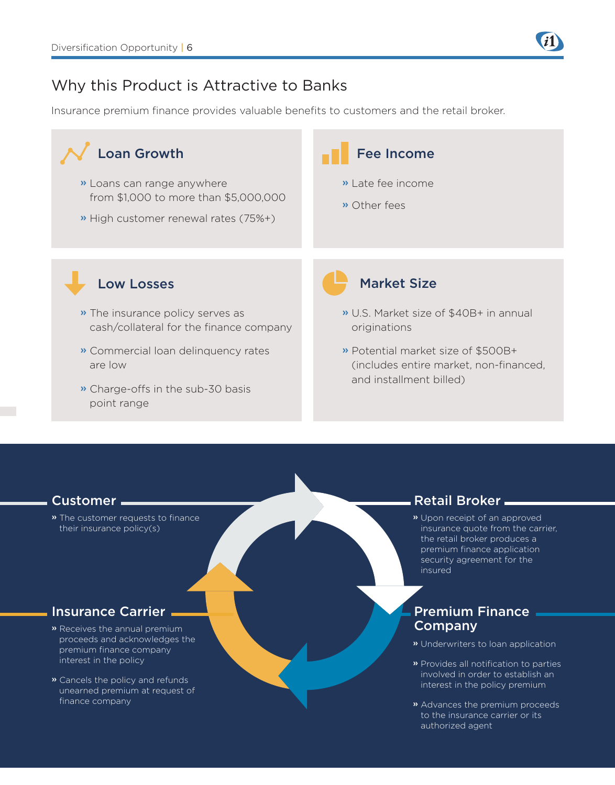### Why this Product is Attractive to Banks

Insurance premium finance provides valuable benefits to customers and the retail broker.



» The customer requests to finance their insurance policy(s)

- » Receives the annual premium proceeds and acknowledges the premium finance company interest in the policy
- » Cancels the policy and refunds unearned premium at request of finance company

### Customer Retail Broker .

» Upon receipt of an approved insurance quote from the carrier, the retail broker produces a premium finance application security agreement for the insured

### Insurance Carrier **Premium Finance** Company

- » Underwriters to loan application
- » Provides all notification to parties involved in order to establish an interest in the policy premium
- » Advances the premium proceeds to the insurance carrier or its authorized agent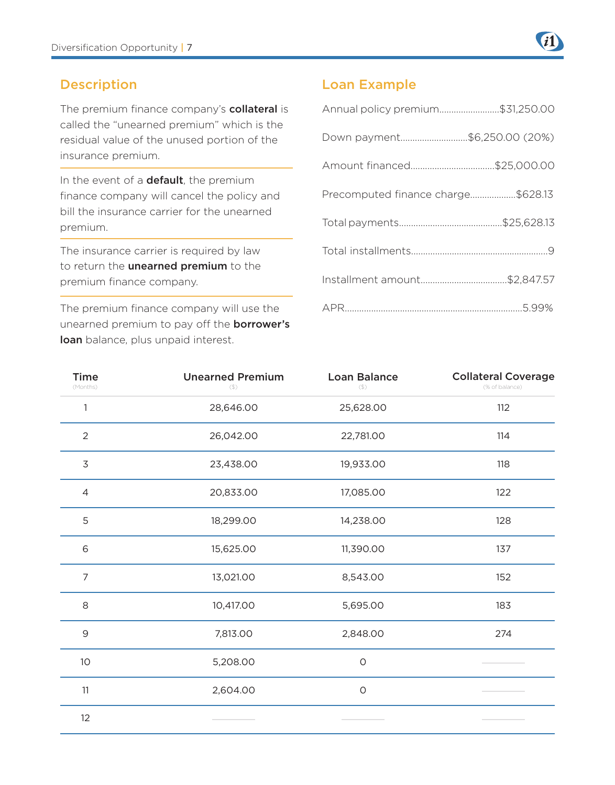

### Description

The premium finance company's collateral is called the "unearned premium" which is the residual value of the unused portion of the insurance premium.

In the event of a **default**, the premium finance company will cancel the policy and bill the insurance carrier for the unearned premium.

The insurance carrier is required by law to return the **unearned premium** to the premium finance company.

The premium finance company will use the unearned premium to pay off the **borrower's** loan balance, plus unpaid interest.

### Loan Example

| Annual policy premium\$31,250.00   |
|------------------------------------|
| Down payment\$6,250.00 (20%)       |
|                                    |
| Precomputed finance charge\$628.13 |
|                                    |
|                                    |
|                                    |
|                                    |

| <b>Time</b><br>(Months) | <b>Unearned Premium</b><br>$(\$)$ | <b>Loan Balance</b><br>$($ \$) | <b>Collateral Coverage</b><br>(% of balance) |
|-------------------------|-----------------------------------|--------------------------------|----------------------------------------------|
| 1                       | 28,646.00                         | 25,628.00                      | 112                                          |
| $\overline{2}$          | 26,042.00                         | 22,781.00                      | 114                                          |
| 3                       | 23,438.00                         | 19,933.00                      | 118                                          |
| 4                       | 20,833.00                         | 17,085.00                      | 122                                          |
| 5                       | 18,299.00                         | 14,238.00                      | 128                                          |
| 6                       | 15,625.00                         | 11,390.00                      | 137                                          |
| $\overline{7}$          | 13,021.00                         | 8,543.00                       | 152                                          |
| 8                       | 10,417.00                         | 5,695.00                       | 183                                          |
| $\mathsf 9$             | 7,813.00                          | 2,848.00                       | 274                                          |
| 10                      | 5,208.00                          | $\circ$                        |                                              |
| 11                      | 2,604.00                          | $\circ$                        |                                              |
| 12                      |                                   |                                |                                              |